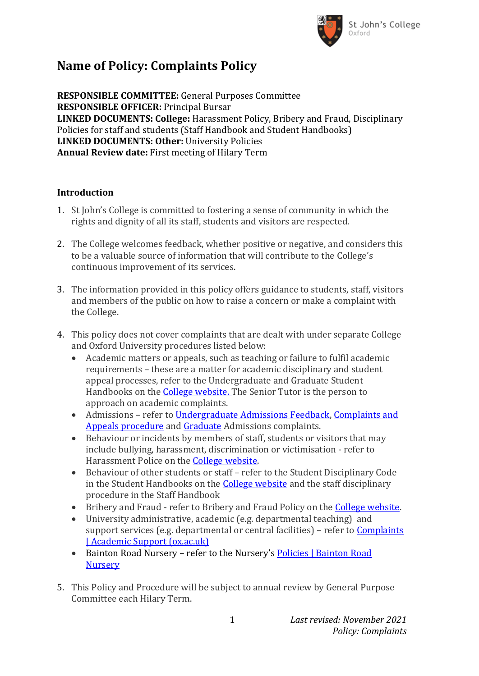

# **Name of Policy: Complaints Policy**

**RESPONSIBLE COMMITTEE:** General Purposes Committee **RESPONSIBLE OFFICER:** Principal Bursar **LINKED DOCUMENTS: College:** Harassment Policy, Bribery and Fraud, Disciplinary Policies for staff and students (Staff Handbook and Student Handbooks) **LINKED DOCUMENTS: Other:** University Policies **Annual Review date:** First meeting of Hilary Term

## **Introduction**

- 1. St John's College is committed to fostering a sense of community in which the rights and dignity of all its staff, students and visitors are respected.
- 2. The College welcomes feedback, whether positive or negative, and considers this to be a valuable source of information that will contribute to the College's continuous improvement of its services.
- 3. The information provided in this policy offers guidance to students, staff, visitors and members of the public on how to raise a concern or make a complaint with the College.
- 4. This policy does not cover complaints that are dealt with under separate College and Oxford University procedures listed below:
	- Academic matters or appeals, such as teaching or failure to fulfil academic requirements – these are a matter for academic disciplinary and student appeal processes, refer to the Undergraduate and Graduate Student Handbooks on the [College website.](https://www.sjc.ox.ac.uk/current-students/administration/) The Senior Tutor is the person to approach on academic complaints.
	- Admissions refer to Undergraduate [Admissions Feedback,](https://www.ox.ac.uk/admissions/undergraduate/applying-to-oxford/decisions/feedback) [Complaints and](https://www.ox.ac.uk/admissions/undergraduate/applying-to-oxford/decisions/complaints-and-appeals)  [Appeals procedure](https://www.ox.ac.uk/admissions/undergraduate/applying-to-oxford/decisions/complaints-and-appeals) and [Graduate](https://www.ox.ac.uk/admissions/graduate/applying-to-oxford/university-policies/complaints-and-appeals) Admissions complaints.
	- Behaviour or incidents by members of staff, students or visitors that may include bullying, harassment, discrimination or victimisation - refer to Harassment Police on the [College website.](https://www.sjc.ox.ac.uk/discover/about-college/legal/college-policies/)
	- Behaviour of other students or staff refer to the Student Disciplinary Code in the Student Handbooks on the [College website](https://www.sjc.ox.ac.uk/current-students/administration/) and the staff disciplinary procedure in the Staff Handbook
	- Bribery and Fraud refer to Bribery and Fraud Policy on the [College website.](https://www.sjc.ox.ac.uk/discover/about-college/legal/college-policies/)
	- University administrative, academic (e.g. departmental teaching) and support services (e.g. departmental or central facilities) – refer to **Complaints** [| Academic Support \(ox.ac.uk\)](https://academic.web.ox.ac.uk/complaints)
	- Bainton Road Nursery refer to the Nursery's Policies | Bainton Road **[Nursery](https://www.baintonroadnursery.co.uk/policies/)**
- 5. This Policy and Procedure will be subject to annual review by General Purpose Committee each Hilary Term.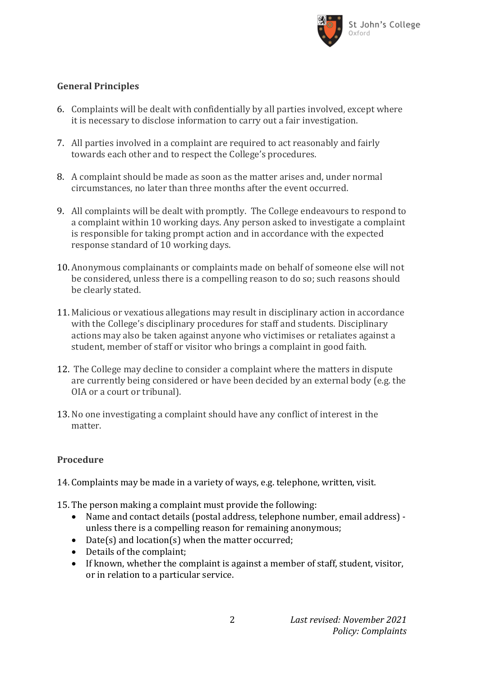

# **General Principles**

- 6. Complaints will be dealt with confidentially by all parties involved, except where it is necessary to disclose information to carry out a fair investigation.
- 7. All parties involved in a complaint are required to act reasonably and fairly towards each other and to respect the College's procedures.
- 8. A complaint should be made as soon as the matter arises and, under normal circumstances, no later than three months after the event occurred.
- 9. All complaints will be dealt with promptly. The College endeavours to respond to a complaint within 10 working days. Any person asked to investigate a complaint is responsible for taking prompt action and in accordance with the expected response standard of 10 working days.
- 10. Anonymous complainants or complaints made on behalf of someone else will not be considered, unless there is a compelling reason to do so; such reasons should be clearly stated.
- 11. Malicious or vexatious allegations may result in disciplinary action in accordance with the College's disciplinary procedures for staff and students. Disciplinary actions may also be taken against anyone who victimises or retaliates against a student, member of staff or visitor who brings a complaint in good faith.
- 12. The College may decline to consider a complaint where the matters in dispute are currently being considered or have been decided by an external body (e.g. the OIA or a court or tribunal).
- 13. No one investigating a complaint should have any conflict of interest in the matter.

## **Procedure**

- 14. Complaints may be made in a variety of ways, e.g. telephone, written, visit.
- 15. The person making a complaint must provide the following:
	- Name and contact details (postal address, telephone number, email address) unless there is a compelling reason for remaining anonymous;
	- Date(s) and location(s) when the matter occurred;
	- Details of the complaint:
	- If known, whether the complaint is against a member of staff, student, visitor, or in relation to a particular service.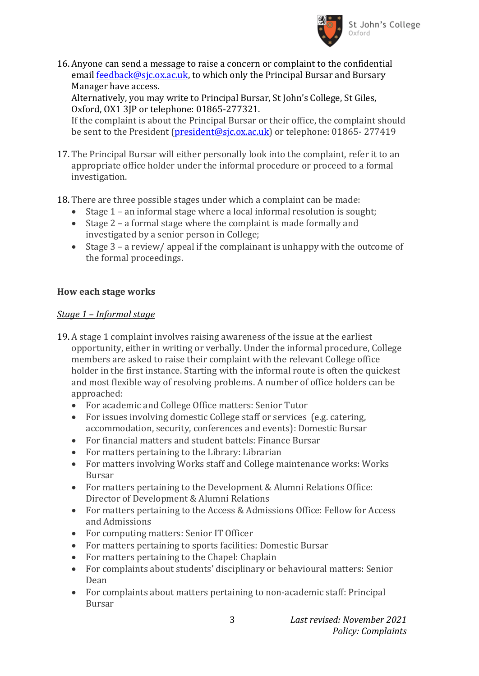

16. Anyone can send a message to raise a concern or complaint to the confidential email [feedback@sjc.ox.ac.uk,](mailto:feedback@sjc.ox.ac.uk) to which only the Principal Bursar and Bursary Manager have access.

Alternatively, you may write to Principal Bursar, St John's College, St Giles, Oxford, OX1 3JP or telephone: 01865-277321.

If the complaint is about the Principal Bursar or their office, the complaint should be sent to the President [\(president@sjc.ox.ac.uk\)](mailto:president@sjc.ox.ac.uk) or telephone: 01865-277419

- 17. The Principal Bursar will either personally look into the complaint, refer it to an appropriate office holder under the informal procedure or proceed to a formal investigation.
- 18. There are three possible stages under which a complaint can be made:
	- Stage 1 an informal stage where a local informal resolution is sought;
	- Stage 2 a formal stage where the complaint is made formally and investigated by a senior person in College;
	- Stage 3 a review/ appeal if the complainant is unhappy with the outcome of the formal proceedings.

## **How each stage works**

#### *Stage 1 – Informal stage*

- 19. A stage 1 complaint involves raising awareness of the issue at the earliest opportunity, either in writing or verbally. Under the informal procedure, College members are asked to raise their complaint with the relevant College office holder in the first instance. Starting with the informal route is often the quickest and most flexible way of resolving problems. A number of office holders can be approached:
	- For academic and College Office matters: Senior Tutor
	- For issues involving domestic College staff or services (e.g. catering, accommodation, security, conferences and events): Domestic Bursar
	- For financial matters and student battels: Finance Bursar
	- For matters pertaining to the Library: Librarian
	- For matters involving Works staff and College maintenance works: Works Bursar
	- For matters pertaining to the Development & Alumni Relations Office: Director of Development & Alumni Relations
	- For matters pertaining to the Access & Admissions Office: Fellow for Access and Admissions
	- For computing matters: Senior IT Officer
	- For matters pertaining to sports facilities: Domestic Bursar
	- For matters pertaining to the Chapel: Chaplain
	- For complaints about students' disciplinary or behavioural matters: Senior Dean
	- For complaints about matters pertaining to non-academic staff: Principal Bursar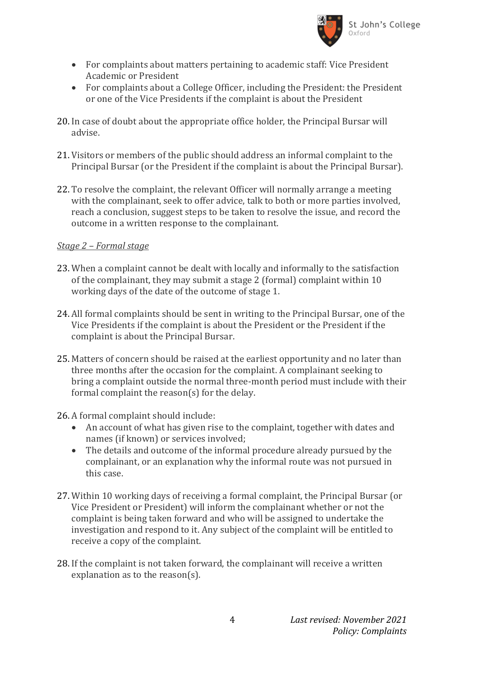

- For complaints about matters pertaining to academic staff: Vice President Academic or President
- For complaints about a College Officer, including the President: the President or one of the Vice Presidents if the complaint is about the President
- 20. In case of doubt about the appropriate office holder, the Principal Bursar will advise.
- 21. Visitors or members of the public should address an informal complaint to the Principal Bursar (or the President if the complaint is about the Principal Bursar).
- 22. To resolve the complaint, the relevant Officer will normally arrange a meeting with the complainant, seek to offer advice, talk to both or more parties involved, reach a conclusion, suggest steps to be taken to resolve the issue, and record the outcome in a written response to the complainant.

## *Stage 2 – Formal stage*

- 23. When a complaint cannot be dealt with locally and informally to the satisfaction of the complainant, they may submit a stage 2 (formal) complaint within 10 working days of the date of the outcome of stage 1.
- 24. All formal complaints should be sent in writing to the Principal Bursar, one of the Vice Presidents if the complaint is about the President or the President if the complaint is about the Principal Bursar.
- 25. Matters of concern should be raised at the earliest opportunity and no later than three months after the occasion for the complaint. A complainant seeking to bring a complaint outside the normal three-month period must include with their formal complaint the reason(s) for the delay.
- 26. A formal complaint should include:
	- An account of what has given rise to the complaint, together with dates and names (if known) or services involved;
	- The details and outcome of the informal procedure already pursued by the complainant, or an explanation why the informal route was not pursued in this case.
- 27. Within 10 working days of receiving a formal complaint, the Principal Bursar (or Vice President or President) will inform the complainant whether or not the complaint is being taken forward and who will be assigned to undertake the investigation and respond to it. Any subject of the complaint will be entitled to receive a copy of the complaint.
- 28. If the complaint is not taken forward, the complainant will receive a written explanation as to the reason(s).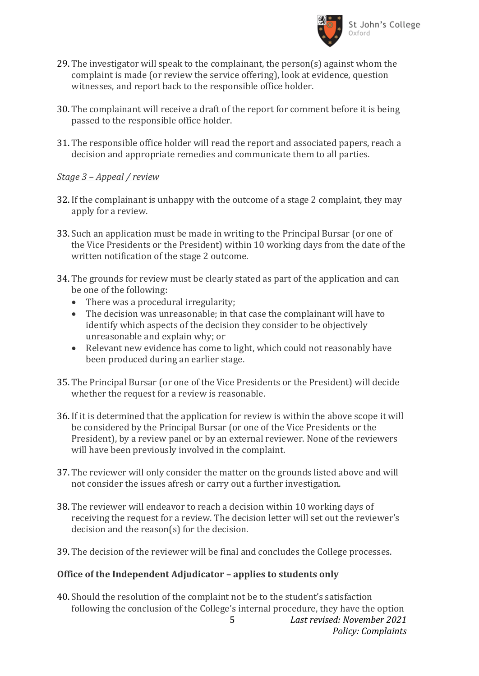

- 29. The investigator will speak to the complainant, the person(s) against whom the complaint is made (or review the service offering), look at evidence, question witnesses, and report back to the responsible office holder.
- 30. The complainant will receive a draft of the report for comment before it is being passed to the responsible office holder.
- 31. The responsible office holder will read the report and associated papers, reach a decision and appropriate remedies and communicate them to all parties.

#### *Stage 3 – Appeal / review*

- 32. If the complainant is unhappy with the outcome of a stage 2 complaint, they may apply for a review.
- 33. Such an application must be made in writing to the Principal Bursar (or one of the Vice Presidents or the President) within 10 working days from the date of the written notification of the stage 2 outcome.
- 34. The grounds for review must be clearly stated as part of the application and can be one of the following:
	- There was a procedural irregularity;
	- The decision was unreasonable; in that case the complainant will have to identify which aspects of the decision they consider to be objectively unreasonable and explain why; or
	- Relevant new evidence has come to light, which could not reasonably have been produced during an earlier stage.
- 35. The Principal Bursar (or one of the Vice Presidents or the President) will decide whether the request for a review is reasonable.
- 36. If it is determined that the application for review is within the above scope it will be considered by the Principal Bursar (or one of the Vice Presidents or the President), by a review panel or by an external reviewer. None of the reviewers will have been previously involved in the complaint.
- 37. The reviewer will only consider the matter on the grounds listed above and will not consider the issues afresh or carry out a further investigation.
- 38. The reviewer will endeavor to reach a decision within 10 working days of receiving the request for a review. The decision letter will set out the reviewer's decision and the reason(s) for the decision.
- 39. The decision of the reviewer will be final and concludes the College processes.

## **Office of the Independent Adjudicator – applies to students only**

5 *Last revised: November 2021 Policy: Complaints* 40. Should the resolution of the complaint not be to the student's satisfaction following the conclusion of the College's internal procedure, they have the option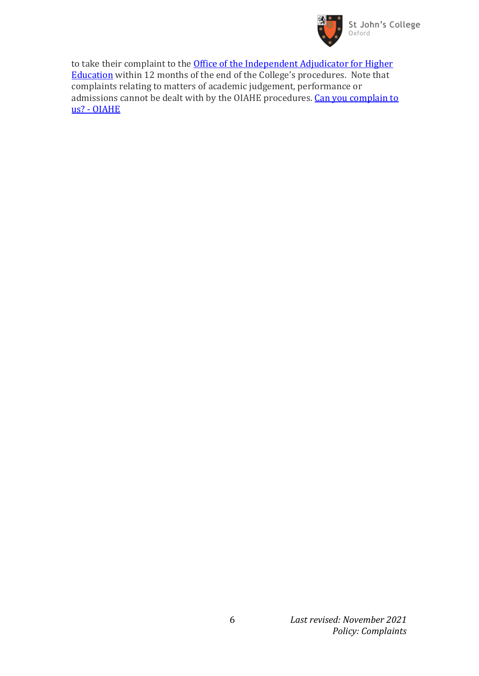

to take their complaint to the **Office of the Independent Adjudicator for Higher** [Education](https://www.oiahe.org.uk/) within 12 months of the end of the College's procedures. Note that complaints relating to matters of academic judgement, performance or admissions cannot be dealt with by the OIAHE procedures. Can you complain to us? - [OIAHE](https://www.oiahe.org.uk/students/can-you-complain-to-us/)